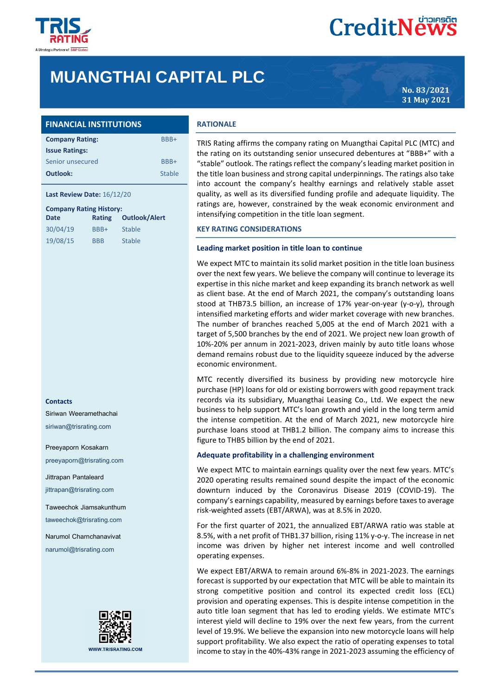

# **MUANGTHAI CAPITAL PLC**

**No. 83/2021 31 May 2021**

## **FINANCIAL INSTITUTIONS**

| <b>Company Rating:</b> | BBB+          |
|------------------------|---------------|
| <b>Issue Ratings:</b>  |               |
| Senior unsecured       | BBB+          |
| Outlook:               | <b>Stable</b> |

## **Last Review Date:** 16/12/20

| <b>Company Rating History:</b> |            |                      |  |  |
|--------------------------------|------------|----------------------|--|--|
| <b>Date</b>                    | Rating     | <b>Outlook/Alert</b> |  |  |
| 30/04/19                       | BBB+       | Stable               |  |  |
| 19/08/15                       | <b>BBB</b> | <b>Stable</b>        |  |  |

#### **Contacts**

Siriwan Weeramethachai

siriwan@trisrating.com

Preeyaporn Kosakarn

preeyaporn@trisrating.com

Jittrapan Pantaleard jittrapan@trisrating.com

Taweechok Jiamsakunthum

taweechok@trisrating.com

Narumol Charnchanavivat narumol@trisrating.com



## **RATIONALE**

TRIS Rating affirms the company rating on Muangthai Capital PLC (MTC) and the rating on its outstanding senior unsecured debentures at "BBB+" with a "stable" outlook. The ratings reflect the company's leading market position in the title loan business and strong capital underpinnings. The ratings also take into account the company's healthy earnings and relatively stable asset quality, as well as its diversified funding profile and adequate liquidity. The ratings are, however, constrained by the weak economic environment and intensifying competition in the title loan segment.

## **KEY RATING CONSIDERATIONS**

#### **Leading market position in title loan to continue**

We expect MTC to maintain its solid market position in the title loan business over the next few years. We believe the company will continue to leverage its expertise in this niche market and keep expanding its branch network as well as client base. At the end of March 2021, the company's outstanding loans stood at THB73.5 billion, an increase of 17% year-on-year (y-o-y), through intensified marketing efforts and wider market coverage with new branches. The number of branches reached 5,005 at the end of March 2021 with a target of 5,500 branches by the end of 2021. We project new loan growth of 10%-20% per annum in 2021-2023, driven mainly by auto title loans whose demand remains robust due to the liquidity squeeze induced by the adverse economic environment.

MTC recently diversified its business by providing new motorcycle hire purchase (HP) loans for old or existing borrowers with good repayment track records via its subsidiary, Muangthai Leasing Co., Ltd. We expect the new business to help support MTC's loan growth and yield in the long term amid the intense competition. At the end of March 2021, new motorcycle hire purchase loans stood at THB1.2 billion. The company aims to increase this figure to THB5 billion by the end of 2021.

## **Adequate profitability in a challenging environment**

We expect MTC to maintain earnings quality over the next few years. MTC's 2020 operating results remained sound despite the impact of the economic downturn induced by the Coronavirus Disease 2019 (COVID-19). The company's earnings capability, measured by earnings before taxes to average risk-weighted assets (EBT/ARWA), was at 8.5% in 2020.

For the first quarter of 2021, the annualized EBT/ARWA ratio was stable at 8.5%, with a net profit of THB1.37 billion, rising 11% y-o-y. The increase in net income was driven by higher net interest income and well controlled operating expenses.

We expect EBT/ARWA to remain around 6%-8% in 2021-2023. The earnings forecast is supported by our expectation that MTC will be able to maintain its strong competitive position and control its expected credit loss (ECL) provision and operating expenses. This is despite intense competition in the auto title loan segment that has led to eroding yields. We estimate MTC's interest yield will decline to 19% over the next few years, from the current level of 19.9%. We believe the expansion into new motorcycle loans will help support profitability. We also expect the ratio of operating expenses to total income to stay in the 40%-43% range in 2021-2023 assuming the efficiency of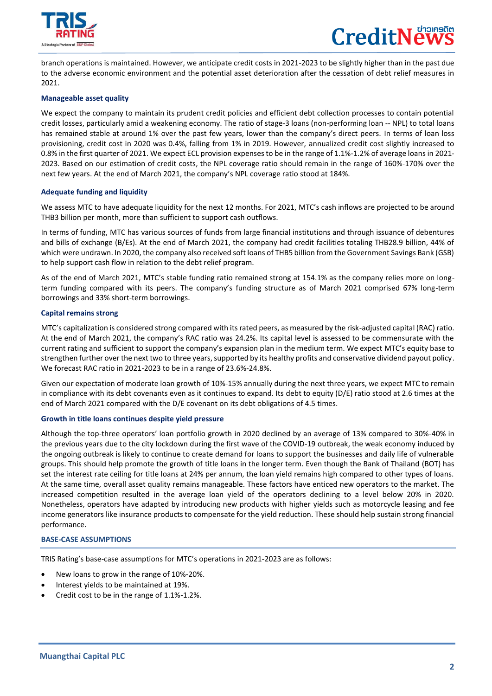

 $\overline{a}$ 



branch operations is maintained. However, we anticipate credit costs in 2021-2023 to be slightly higher than in the past due to the adverse economic environment and the potential asset deterioration after the cessation of debt relief measures in 2021.

## **Manageable asset quality**

We expect the company to maintain its prudent credit policies and efficient debt collection processes to contain potential credit losses, particularly amid a weakening economy. The ratio of stage-3 loans (non-performing loan -- NPL) to total loans has remained stable at around 1% over the past few years, lower than the company's direct peers. In terms of loan loss provisioning, credit cost in 2020 was 0.4%, falling from 1% in 2019. However, annualized credit cost slightly increased to 0.8% in the first quarter of 2021. We expect ECL provision expenses to be in the range of 1.1%-1.2% of average loans in 2021- 2023. Based on our estimation of credit costs, the NPL coverage ratio should remain in the range of 160%-170% over the next few years. At the end of March 2021, the company's NPL coverage ratio stood at 184%.

## **Adequate funding and liquidity**

We assess MTC to have adequate liquidity for the next 12 months. For 2021, MTC's cash inflows are projected to be around THB3 billion per month, more than sufficient to support cash outflows.

In terms of funding, MTC has various sources of funds from large financial institutions and through issuance of debentures and bills of exchange (B/Es). At the end of March 2021, the company had credit facilities totaling THB28.9 billion, 44% of which were undrawn. In 2020, the company also received soft loans of THB5 billion from the Government Savings Bank (GSB) to help support cash flow in relation to the debt relief program.

As of the end of March 2021, MTC's stable funding ratio remained strong at 154.1% as the company relies more on longterm funding compared with its peers. The company's funding structure as of March 2021 comprised 67% long-term borrowings and 33% short-term borrowings.

## **Capital remains strong**

MTC's capitalization is considered strong compared with its rated peers, as measured by the risk-adjusted capital (RAC) ratio. At the end of March 2021, the company's RAC ratio was 24.2%. Its capital level is assessed to be commensurate with the current rating and sufficient to support the company's expansion plan in the medium term. We expect MTC's equity base to strengthen further over the next two to three years, supported by its healthy profits and conservative dividend payout policy. We forecast RAC ratio in 2021-2023 to be in a range of 23.6%-24.8%.

Given our expectation of moderate loan growth of 10%-15% annually during the next three years, we expect MTC to remain in compliance with its debt covenants even as it continues to expand. Its debt to equity (D/E) ratio stood at 2.6 times at the end of March 2021 compared with the D/E covenant on its debt obligations of 4.5 times.

## **Growth in title loans continues despite yield pressure**

Although the top-three operators' loan portfolio growth in 2020 declined by an average of 13% compared to 30%-40% in the previous years due to the city lockdown during the first wave of the COVID-19 outbreak, the weak economy induced by the ongoing outbreak is likely to continue to create demand for loans to support the businesses and daily life of vulnerable groups. This should help promote the growth of title loans in the longer term. Even though the Bank of Thailand (BOT) has set the interest rate ceiling for title loans at 24% per annum, the loan yield remains high compared to other types of loans. At the same time, overall asset quality remains manageable. These factors have enticed new operators to the market. The increased competition resulted in the average loan yield of the operators declining to a level below 20% in 2020. Nonetheless, operators have adapted by introducing new products with higher yields such as motorcycle leasing and fee income generators like insurance products to compensate for the yield reduction. These should help sustain strong financial performance.

## **BASE-CASE ASSUMPTIONS**

TRIS Rating's base-case assumptions for MTC's operations in 2021-2023 are as follows:

- New loans to grow in the range of 10%-20%.
- Interest yields to be maintained at 19%.
- Credit cost to be in the range of 1.1%-1.2%.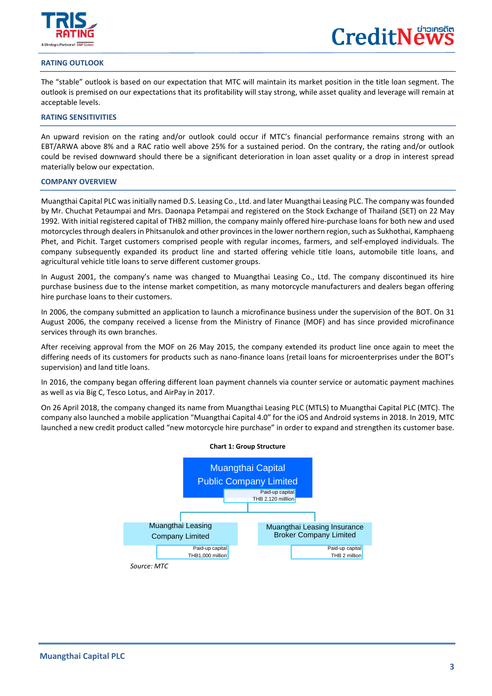

 $\overline{a}$ 

## **RATING OUTLOOK**

The "stable" outlook is based on our expectation that MTC will maintain its market position in the title loan segment. The outlook is premised on our expectations that its profitability will stay strong, while asset quality and leverage will remain at acceptable levels.

## **RATING SENSITIVITIES**

An upward revision on the rating and/or outlook could occur if MTC's financial performance remains strong with an EBT/ARWA above 8% and a RAC ratio well above 25% for a sustained period. On the contrary, the rating and/or outlook could be revised downward should there be a significant deterioration in loan asset quality or a drop in interest spread materially below our expectation.

#### **COMPANY OVERVIEW**

Muangthai Capital PLC was initially named D.S. Leasing Co., Ltd. and later Muangthai Leasing PLC. The company was founded by Mr. Chuchat Petaumpai and Mrs. Daonapa Petampai and registered on the Stock Exchange of Thailand (SET) on 22 May 1992. With initial registered capital of THB2 million, the company mainly offered hire-purchase loans for both new and used motorcycles through dealers in Phitsanulok and other provinces in the lower northern region, such as Sukhothai, Kamphaeng Phet, and Pichit. Target customers comprised people with regular incomes, farmers, and self-employed individuals. The company subsequently expanded its product line and started offering vehicle title loans, automobile title loans, and agricultural vehicle title loans to serve different customer groups.

In August 2001, the company's name was changed to Muangthai Leasing Co., Ltd. The company discontinued its hire purchase business due to the intense market competition, as many motorcycle manufacturers and dealers began offering hire purchase loans to their customers.

In 2006, the company submitted an application to launch a microfinance business under the supervision of the BOT. On 31 August 2006, the company received a license from the Ministry of Finance (MOF) and has since provided microfinance services through its own branches.

After receiving approval from the MOF on 26 May 2015, the company extended its product line once again to meet the differing needs of its customers for products such as nano-finance loans (retail loans for microenterprises under the BOT's supervision) and land title loans.

In 2016, the company began offering different loan payment channels via counter service or automatic payment machines as well as via Big C, Tesco Lotus, and AirPay in 2017.

On 26 April 2018, the company changed its name from Muangthai Leasing PLC (MTLS) to Muangthai Capital PLC (MTC). The company also launched a mobile application "Muangthai Capital 4.0" for the iOS and Android systems in 2018. In 2019, MTC launched a new credit product called "new motorcycle hire purchase" in order to expand and strengthen its customer base.

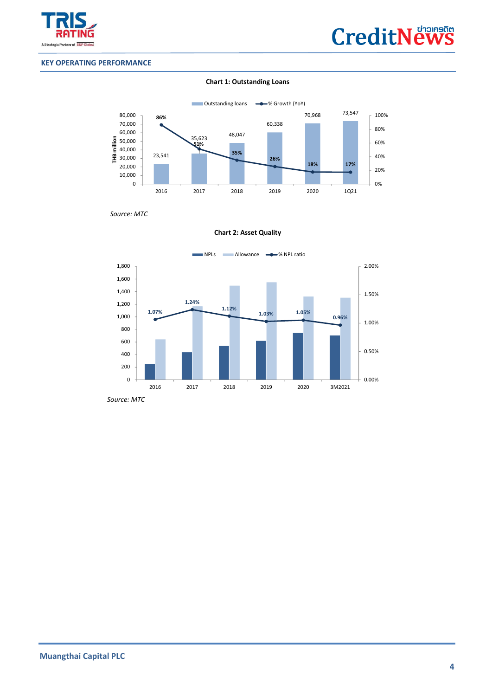



## **KEY OPERATING PERFORMANCE**

## **Chart 1: Outstanding Loans**



 *Source: MTC*

**Chart 2: Asset Quality**



 *Source: MTC*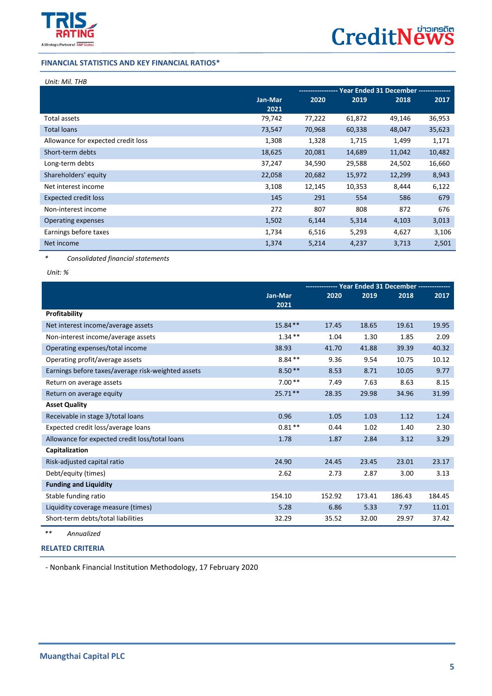

## **FINANCIAL STATISTICS AND KEY FINANCIAL RATIOS\***

## *Unit: Mil. THB*

 $\overline{a}$ 

|                                    |         | Year Ended 31 December -------------- |        |        |        |
|------------------------------------|---------|---------------------------------------|--------|--------|--------|
|                                    | Jan-Mar | 2020                                  | 2019   | 2018   | 2017   |
|                                    | 2021    |                                       |        |        |        |
| Total assets                       | 79,742  | 77,222                                | 61,872 | 49,146 | 36,953 |
| <b>Total loans</b>                 | 73,547  | 70,968                                | 60,338 | 48,047 | 35,623 |
| Allowance for expected credit loss | 1,308   | 1,328                                 | 1,715  | 1,499  | 1,171  |
| Short-term debts                   | 18,625  | 20,081                                | 14,689 | 11,042 | 10,482 |
| Long-term debts                    | 37,247  | 34,590                                | 29,588 | 24,502 | 16,660 |
| Shareholders' equity               | 22,058  | 20,682                                | 15,972 | 12,299 | 8,943  |
| Net interest income                | 3,108   | 12,145                                | 10,353 | 8,444  | 6,122  |
| <b>Expected credit loss</b>        | 145     | 291                                   | 554    | 586    | 679    |
| Non-interest income                | 272     | 807                                   | 808    | 872    | 676    |
| Operating expenses                 | 1,502   | 6,144                                 | 5,314  | 4,103  | 3,013  |
| Earnings before taxes              | 1,734   | 6,516                                 | 5,293  | 4,627  | 3,106  |
| Net income                         | 1,374   | 5,214                                 | 4,237  | 3,713  | 2,501  |

*\* Consolidated financial statements*

*Unit: %*

|                                                    |           | -------------- Year Ended 31 December -------------- |        |        |        |
|----------------------------------------------------|-----------|------------------------------------------------------|--------|--------|--------|
|                                                    | Jan-Mar   | 2020                                                 | 2019   | 2018   | 2017   |
| Profitability                                      | 2021      |                                                      |        |        |        |
|                                                    |           |                                                      |        |        |        |
| Net interest income/average assets                 | $15.84**$ | 17.45                                                | 18.65  | 19.61  | 19.95  |
| Non-interest income/average assets                 | $1.34***$ | 1.04                                                 | 1.30   | 1.85   | 2.09   |
| Operating expenses/total income                    | 38.93     | 41.70                                                | 41.88  | 39.39  | 40.32  |
| Operating profit/average assets                    | $8.84**$  | 9.36                                                 | 9.54   | 10.75  | 10.12  |
| Earnings before taxes/average risk-weighted assets | $8.50**$  | 8.53                                                 | 8.71   | 10.05  | 9.77   |
| Return on average assets                           | $7.00**$  | 7.49                                                 | 7.63   | 8.63   | 8.15   |
| Return on average equity                           | $25.71**$ | 28.35                                                | 29.98  | 34.96  | 31.99  |
| <b>Asset Quality</b>                               |           |                                                      |        |        |        |
| Receivable in stage 3/total loans                  | 0.96      | 1.05                                                 | 1.03   | 1.12   | 1.24   |
| Expected credit loss/average loans                 | $0.81**$  | 0.44                                                 | 1.02   | 1.40   | 2.30   |
| Allowance for expected credit loss/total loans     | 1.78      | 1.87                                                 | 2.84   | 3.12   | 3.29   |
| Capitalization                                     |           |                                                      |        |        |        |
| Risk-adjusted capital ratio                        | 24.90     | 24.45                                                | 23.45  | 23.01  | 23.17  |
| Debt/equity (times)                                | 2.62      | 2.73                                                 | 2.87   | 3.00   | 3.13   |
| <b>Funding and Liquidity</b>                       |           |                                                      |        |        |        |
| Stable funding ratio                               | 154.10    | 152.92                                               | 173.41 | 186.43 | 184.45 |
| Liquidity coverage measure (times)                 | 5.28      | 6.86                                                 | 5.33   | 7.97   | 11.01  |
| Short-term debts/total liabilities                 | 32.29     | 35.52                                                | 32.00  | 29.97  | 37.42  |
|                                                    |           |                                                      |        |        |        |

*\*\* Annualized* 

## **[RELATED CRITERIA](https://www.trisrating.com/rating-information/rating-criteria/)**

- Nonbank Financial Institution Methodology, 17 February 2020